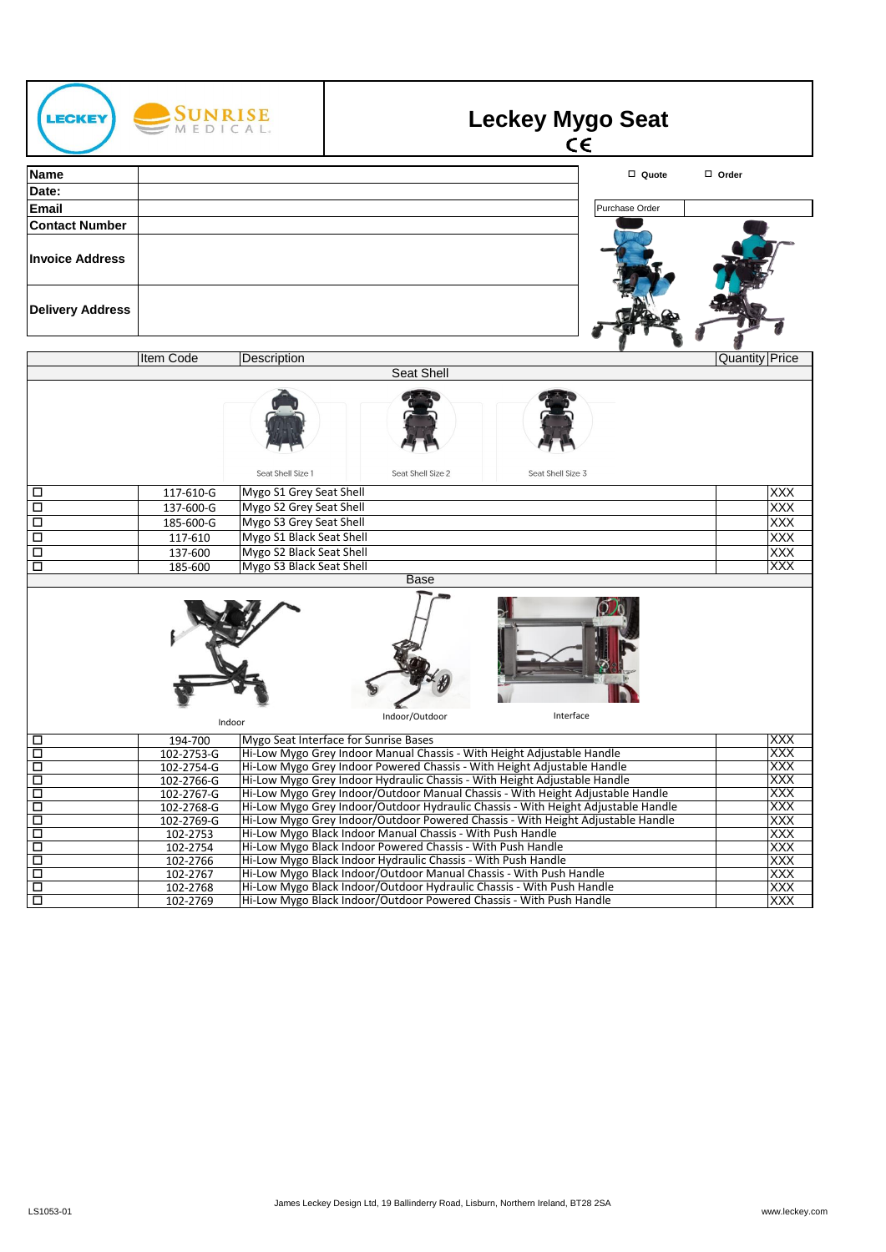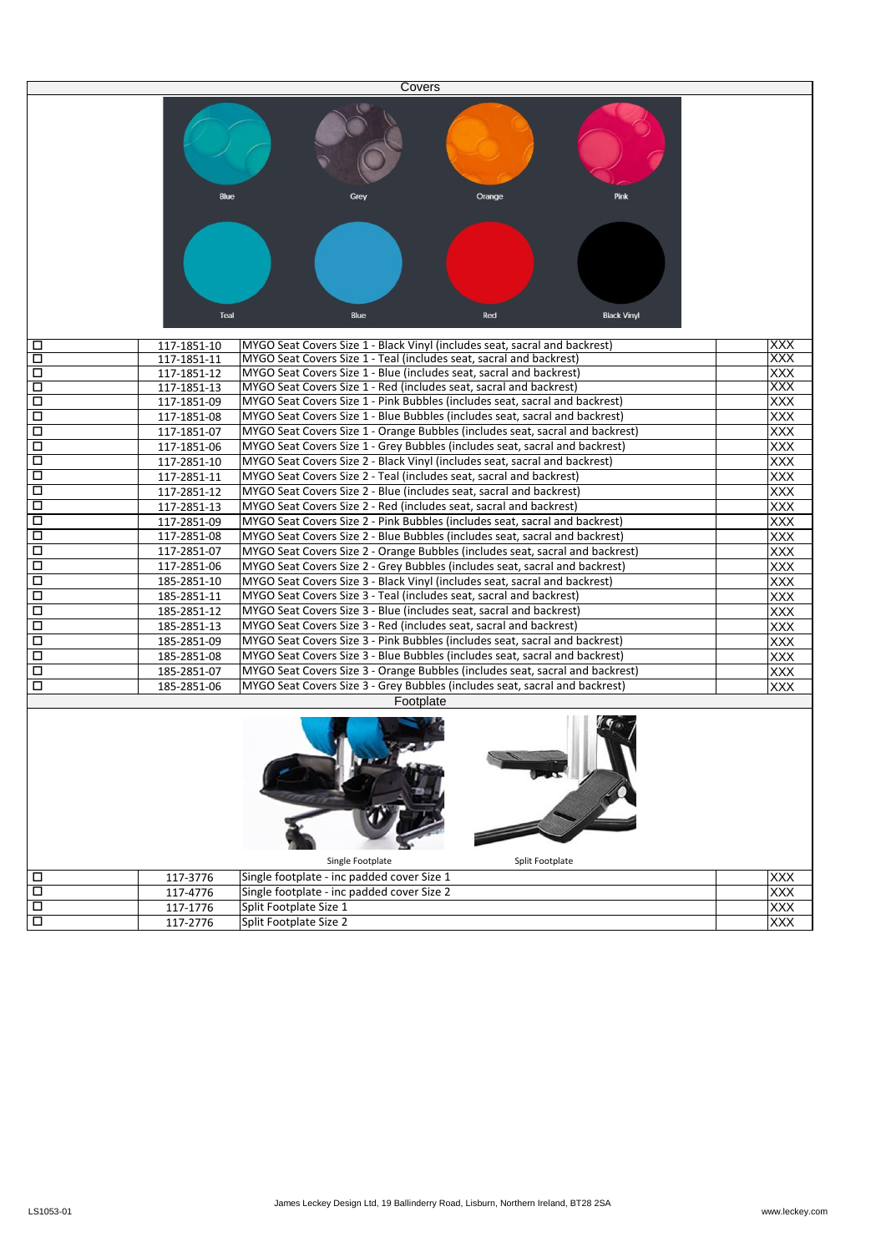| Covers |              |                                                                               |            |  |
|--------|--------------|-------------------------------------------------------------------------------|------------|--|
|        | Blue<br>Teal | Pink<br>Orange<br>Blue<br>Red<br><b>Black Vinyl</b>                           |            |  |
| □      | 117-1851-10  | MYGO Seat Covers Size 1 - Black Vinyl (includes seat, sacral and backrest)    | <b>XXX</b> |  |
| □      | 117-1851-11  | MYGO Seat Covers Size 1 - Teal (includes seat, sacral and backrest)           | <b>XXX</b> |  |
| $\Box$ | 117-1851-12  | MYGO Seat Covers Size 1 - Blue (includes seat, sacral and backrest)           | XXX        |  |
| □      | 117-1851-13  | MYGO Seat Covers Size 1 - Red (includes seat, sacral and backrest)            | XXX        |  |
| □      | 117-1851-09  | MYGO Seat Covers Size 1 - Pink Bubbles (includes seat, sacral and backrest)   | XXX        |  |
| $\Box$ | 117-1851-08  | MYGO Seat Covers Size 1 - Blue Bubbles (includes seat, sacral and backrest)   | <b>XXX</b> |  |
| □      | 117-1851-07  | MYGO Seat Covers Size 1 - Orange Bubbles (includes seat, sacral and backrest) | <b>XXX</b> |  |
| □      | 117-1851-06  | MYGO Seat Covers Size 1 - Grey Bubbles (includes seat, sacral and backrest)   | <b>XXX</b> |  |
| $\Box$ | 117-2851-10  | MYGO Seat Covers Size 2 - Black Vinyl (includes seat, sacral and backrest)    | <b>XXX</b> |  |
| $\Box$ | 117-2851-11  | MYGO Seat Covers Size 2 - Teal (includes seat, sacral and backrest)           | XXX        |  |
| □      | 117-2851-12  | MYGO Seat Covers Size 2 - Blue (includes seat, sacral and backrest)           | XXX        |  |
| □      | 117-2851-13  | MYGO Seat Covers Size 2 - Red (includes seat, sacral and backrest)            | XXX        |  |
| $\Box$ | 117-2851-09  | MYGO Seat Covers Size 2 - Pink Bubbles (includes seat, sacral and backrest)   | XXX        |  |
| □      | 117-2851-08  | MYGO Seat Covers Size 2 - Blue Bubbles (includes seat, sacral and backrest)   | XXX        |  |
| $\Box$ | 117-2851-07  | MYGO Seat Covers Size 2 - Orange Bubbles (includes seat, sacral and backrest) | XXX        |  |
| □      | 117-2851-06  | MYGO Seat Covers Size 2 - Grey Bubbles (includes seat, sacral and backrest)   | <b>XXX</b> |  |
| □      | 185-2851-10  | MYGO Seat Covers Size 3 - Black Vinyl (includes seat, sacral and backrest)    | XXX        |  |
| $\Box$ | 185-2851-11  | MYGO Seat Covers Size 3 - Teal (includes seat, sacral and backrest)           | XXX        |  |
| □      | 185-2851-12  | MYGO Seat Covers Size 3 - Blue (includes seat, sacral and backrest)           | XXX        |  |
| $\Box$ | 185-2851-13  | MYGO Seat Covers Size 3 - Red (includes seat, sacral and backrest)            | <b>XXX</b> |  |
| $\Box$ | 185-2851-09  | MYGO Seat Covers Size 3 - Pink Bubbles (includes seat, sacral and backrest)   | XXX        |  |
| □      | 185-2851-08  | MYGO Seat Covers Size 3 - Blue Bubbles (includes seat, sacral and backrest)   | XXX        |  |
| □      | 185-2851-07  | MYGO Seat Covers Size 3 - Orange Bubbles (includes seat, sacral and backrest) | XXX        |  |
| □      | 185-2851-06  | MYGO Seat Covers Size 3 - Grey Bubbles (includes seat, sacral and backrest)   | XXX        |  |
|        |              | Footplate<br>Single Footplate<br>Split Footplate                              |            |  |
| □      | 117-3776     | Single footplate - inc padded cover Size 1                                    | XXX        |  |
| □      | 117-4776     | Single footplate - inc padded cover Size 2                                    | XXX        |  |
| □      | 117-1776     | Split Footplate Size 1                                                        | XXX        |  |
| $\Box$ | 117-2776     | Split Footplate Size 2                                                        | XXX        |  |
|        |              |                                                                               |            |  |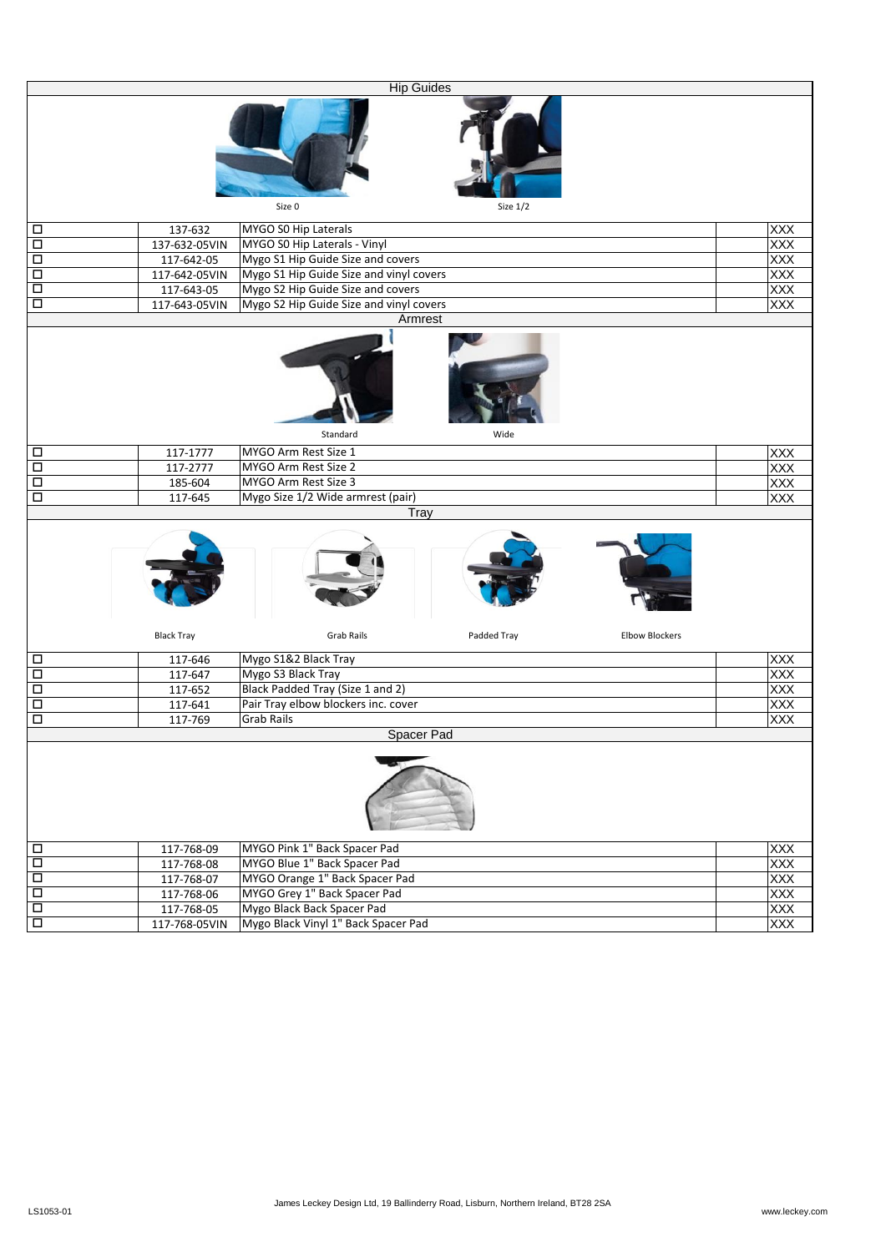|                                           |                             |                                                                   | <b>Hip Guides</b> |                       |                   |
|-------------------------------------------|-----------------------------|-------------------------------------------------------------------|-------------------|-----------------------|-------------------|
|                                           |                             |                                                                   |                   |                       |                   |
|                                           |                             | Size 0                                                            | Size $1/2$        |                       |                   |
| □                                         | 137-632                     | MYGO S0 Hip Laterals                                              |                   |                       | <b>XXX</b>        |
| $\Box$                                    | 137-632-05VIN               | MYGO SO Hip Laterals - Vinyl                                      |                   |                       | XXX               |
| $\Box$                                    | 117-642-05                  | Mygo S1 Hip Guide Size and covers                                 |                   |                       |                   |
| $\Box$                                    | 117-642-05VIN               | Mygo S1 Hip Guide Size and vinyl covers                           |                   |                       | XXX               |
| $\Box$                                    |                             | Mygo S2 Hip Guide Size and covers                                 |                   |                       | XXX<br>XXX<br>XXX |
|                                           | 117-643-05                  |                                                                   |                   |                       |                   |
| $\Box$                                    | 117-643-05VIN               | Mygo S2 Hip Guide Size and vinyl covers                           |                   |                       |                   |
|                                           |                             |                                                                   | Armrest           |                       |                   |
|                                           |                             | Standard                                                          | Wide              |                       |                   |
|                                           |                             |                                                                   |                   |                       |                   |
| □                                         | 117-1777                    | MYGO Arm Rest Size 1                                              |                   |                       | XXX               |
| $\overline{\square}$                      | 117-2777                    | MYGO Arm Rest Size 2                                              |                   |                       | <b>XXX</b>        |
| $\Box$                                    | 185-604                     | MYGO Arm Rest Size 3                                              |                   |                       | XXX<br>XXX        |
| $\Box$                                    | 117-645                     | Mygo Size 1/2 Wide armrest (pair)                                 | Tray              |                       |                   |
|                                           |                             |                                                                   |                   |                       |                   |
|                                           | <b>Black Tray</b>           | <b>Grab Rails</b>                                                 | Padded Tray       | <b>Elbow Blockers</b> |                   |
| □                                         | 117-646                     | Mygo S1&2 Black Tray                                              |                   |                       | XXX               |
| $\Box$                                    | 117-647                     | Mygo S3 Black Tray                                                |                   |                       | <b>XXX</b>        |
| $\Box$                                    | 117-652                     | Black Padded Tray (Size 1 and 2)                                  |                   |                       | XXX               |
| $\Box$                                    | 117-641                     | Pair Tray elbow blockers inc. cover                               |                   |                       | XXX               |
| $\Box$                                    | 117-769                     | <b>Grab Rails</b>                                                 |                   |                       | <b>XXX</b>        |
|                                           |                             |                                                                   | Spacer Pad        |                       |                   |
|                                           |                             |                                                                   |                   |                       |                   |
| $\Box$                                    | 117-768-09                  | MYGO Pink 1" Back Spacer Pad                                      |                   |                       | <b>XXX</b>        |
| $\overline{\Box}$                         | 117-768-08                  | MYGO Blue 1" Back Spacer Pad                                      |                   |                       | <b>XXX</b>        |
|                                           |                             |                                                                   |                   |                       |                   |
|                                           |                             |                                                                   |                   |                       |                   |
| $\overline{\Box}$                         | 117-768-07                  | MYGO Orange 1" Back Spacer Pad                                    |                   |                       | <b>XXX</b>        |
| $\overline{\Box}$                         | 117-768-06                  | MYGO Grey 1" Back Spacer Pad                                      |                   |                       | XXX               |
| $\overline{\square}$<br>$\overline{\Box}$ | 117-768-05<br>117-768-05VIN | Mygo Black Back Spacer Pad<br>Mygo Black Vinyl 1" Back Spacer Pad |                   |                       | XXX<br>XXX        |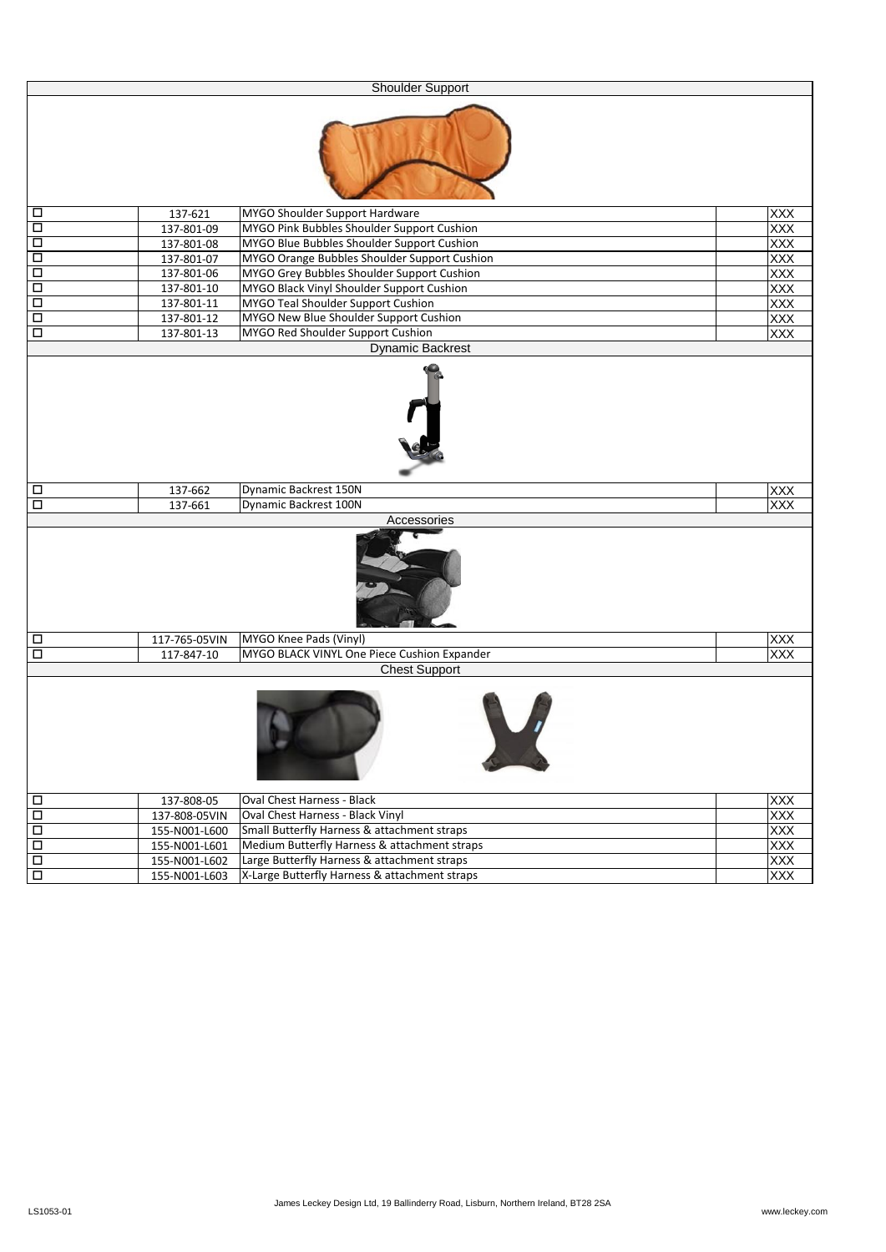| <b>Shoulder Support</b>                   |                                |                                                                                             |                          |  |  |
|-------------------------------------------|--------------------------------|---------------------------------------------------------------------------------------------|--------------------------|--|--|
|                                           |                                |                                                                                             |                          |  |  |
| $\Box$                                    | 137-621                        | MYGO Shoulder Support Hardware                                                              | <b>XXX</b>               |  |  |
| $\Box$                                    | 137-801-09                     | MYGO Pink Bubbles Shoulder Support Cushion                                                  | XXX                      |  |  |
| $\overline{\square}$                      | 137-801-08                     | MYGO Blue Bubbles Shoulder Support Cushion                                                  | XXX                      |  |  |
| $\overline{\Box}$                         | 137-801-07                     | MYGO Orange Bubbles Shoulder Support Cushion                                                | XXX                      |  |  |
| $\overline{\square}$                      | 137-801-06                     | MYGO Grey Bubbles Shoulder Support Cushion                                                  | XXX                      |  |  |
| $\overline{\Box}$                         | 137-801-10                     | MYGO Black Vinyl Shoulder Support Cushion                                                   | XXX                      |  |  |
| $\overline{\Box}$                         | 137-801-11                     | MYGO Teal Shoulder Support Cushion                                                          | <b>XXX</b>               |  |  |
| $\overline{\square}$                      | 137-801-12                     | MYGO New Blue Shoulder Support Cushion                                                      | XXX<br><b>XXX</b>        |  |  |
| $\Box$                                    | 137-801-13                     | MYGO Red Shoulder Support Cushion<br><b>Dynamic Backrest</b>                                |                          |  |  |
|                                           |                                |                                                                                             |                          |  |  |
| $\Box$                                    | 137-662                        | Dynamic Backrest 150N                                                                       | <b>XXX</b>               |  |  |
| □                                         | 137-661                        | Dynamic Backrest 100N                                                                       | XXX                      |  |  |
| Accessories                               |                                |                                                                                             |                          |  |  |
|                                           |                                |                                                                                             |                          |  |  |
| $\Box$                                    | 117-765-05VIN                  | MYGO Knee Pads (Vinyl)                                                                      | <b>XXX</b>               |  |  |
| $\Box$                                    | 117-847-10                     | MYGO BLACK VINYL One Piece Cushion Expander<br><b>Chest Support</b>                         | <b>XXX</b>               |  |  |
|                                           |                                |                                                                                             |                          |  |  |
| $\Box$                                    | 137-808-05                     | Oval Chest Harness - Black<br><b>XXX</b>                                                    |                          |  |  |
| $\overline{\Box}$                         |                                | Oval Chest Harness - Black Vinyl<br><b>XXX</b><br>137-808-05VIN                             |                          |  |  |
| $\overline{\Box}$                         | 155-N001-L600                  | Small Butterfly Harness & attachment straps                                                 | XXX                      |  |  |
| $\overline{\square}$<br>$\overline{\Box}$ | 155-N001-L601                  | Medium Butterfly Harness & attachment straps<br>Large Butterfly Harness & attachment straps | XXX                      |  |  |
| $\overline{\square}$                      | 155-N001-L602<br>155-N001-L603 | X-Large Butterfly Harness & attachment straps                                               | <b>XXX</b><br><b>XXX</b> |  |  |
|                                           |                                |                                                                                             |                          |  |  |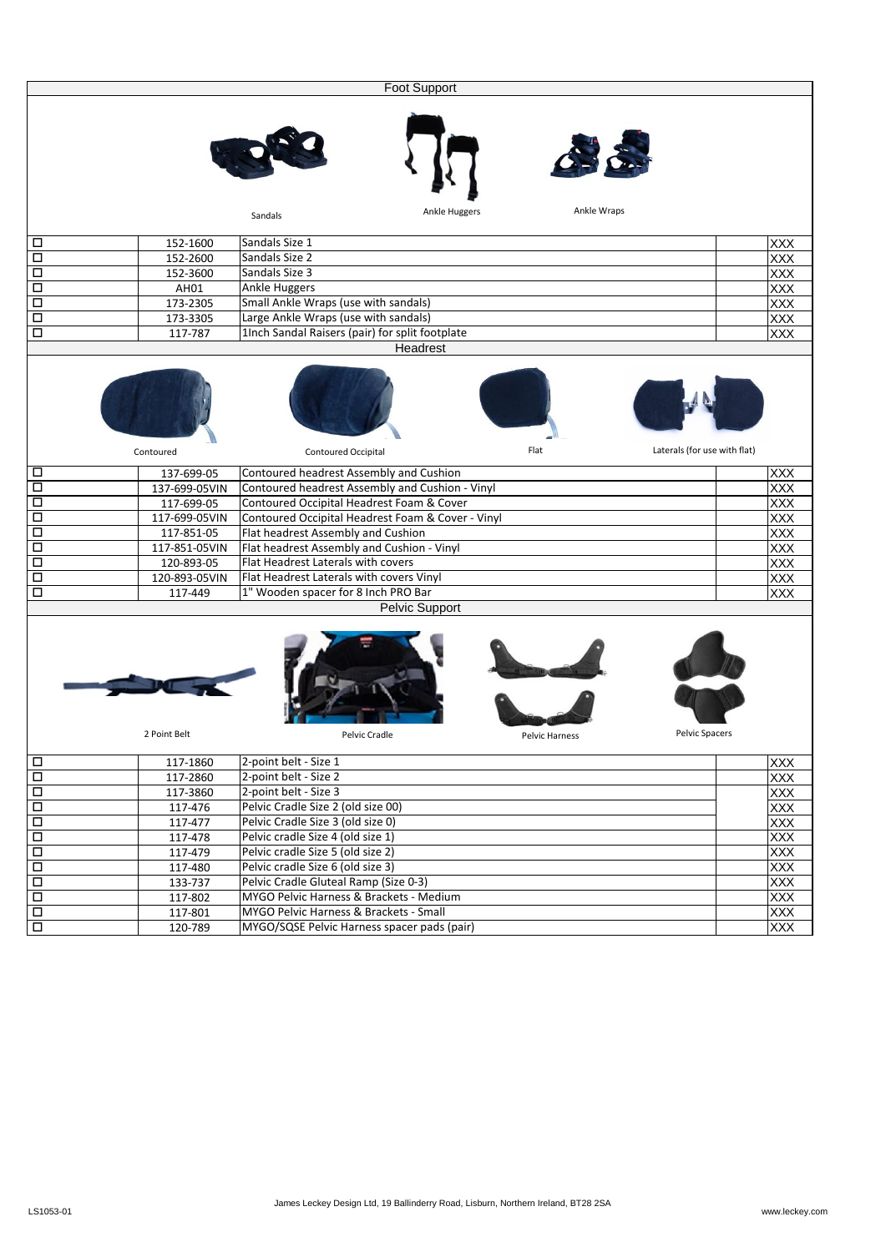| Foot Support      |               |                                                   |                              |  |
|-------------------|---------------|---------------------------------------------------|------------------------------|--|
|                   |               |                                                   |                              |  |
|                   |               | Ankle Huggers<br>Sandals                          | Ankle Wraps                  |  |
| □                 | 152-1600      | Sandals Size 1                                    | <b>XXX</b>                   |  |
| $\Box$            | 152-2600      | Sandals Size 2                                    | XXX                          |  |
| □                 | 152-3600      | Sandals Size 3                                    | XXX                          |  |
| □                 | AH01          | <b>Ankle Huggers</b>                              | XXX                          |  |
| □                 | 173-2305      | Small Ankle Wraps (use with sandals)              | XXX                          |  |
| □                 | 173-3305      | Large Ankle Wraps (use with sandals)              | XXX                          |  |
| □                 | 117-787       | 1Inch Sandal Raisers (pair) for split footplate   | <b>XXX</b>                   |  |
|                   |               | Headrest                                          |                              |  |
|                   |               |                                                   |                              |  |
|                   | Contoured     | Flat<br>Contoured Occipital                       | Laterals (for use with flat) |  |
| □                 | 137-699-05    | Contoured headrest Assembly and Cushion           | <b>XXX</b>                   |  |
| □                 | 137-699-05VIN | Contoured headrest Assembly and Cushion - Vinyl   | <b>XXX</b>                   |  |
| □                 | 117-699-05    | Contoured Occipital Headrest Foam & Cover         | XXX                          |  |
| □                 | 117-699-05VIN | Contoured Occipital Headrest Foam & Cover - Vinyl | XXX                          |  |
| □                 | 117-851-05    | Flat headrest Assembly and Cushion                | XXX                          |  |
| □                 | 117-851-05VIN | Flat headrest Assembly and Cushion - Vinyl        | XXX                          |  |
| □                 | 120-893-05    | Flat Headrest Laterals with covers                | XXX                          |  |
| $\Box$            | 120-893-05VIN | Flat Headrest Laterals with covers Vinyl          | XXX                          |  |
| □                 | 117-449       | 1" Wooden spacer for 8 Inch PRO Bar               | XXX                          |  |
|                   |               | Pelvic Support                                    |                              |  |
|                   | 2 Point Belt  | Pelvic Cradle<br><b>Pelvic Harness</b>            | Pelvic Spacers               |  |
| $\Box$            | 117-1860      | 2-point belt - Size 1                             | XXX                          |  |
| $\Box$            | 117-2860      | 2-point belt - Size 2                             | <b>XXX</b>                   |  |
| $\Box$            | 117-3860      | 2-point belt - Size 3                             | XXX                          |  |
| $\Box$            | 117-476       | Pelvic Cradle Size 2 (old size 00)                | XXX                          |  |
| $\Box$            | 117-477       | Pelvic Cradle Size 3 (old size 0)                 | <b>XXX</b>                   |  |
| $\Box$            | 117-478       | Pelvic cradle Size 4 (old size 1)                 | <b>XXX</b>                   |  |
| $\Box$            | 117-479       | Pelvic cradle Size 5 (old size 2)                 | XXX                          |  |
| $\Box$            | 117-480       | Pelvic cradle Size 6 (old size 3)                 | <b>XXX</b>                   |  |
| $\Box$            | 133-737       | Pelvic Cradle Gluteal Ramp (Size 0-3)             | <b>XXX</b>                   |  |
| $\Box$            | 117-802       | MYGO Pelvic Harness & Brackets - Medium           | XXX                          |  |
| $\Box$            | 117-801       | MYGO Pelvic Harness & Brackets - Small            | XXX                          |  |
| $\overline{\Box}$ | 120-789       | MYGO/SQSE Pelvic Harness spacer pads (pair)       | <b>XXX</b>                   |  |
|                   |               |                                                   |                              |  |